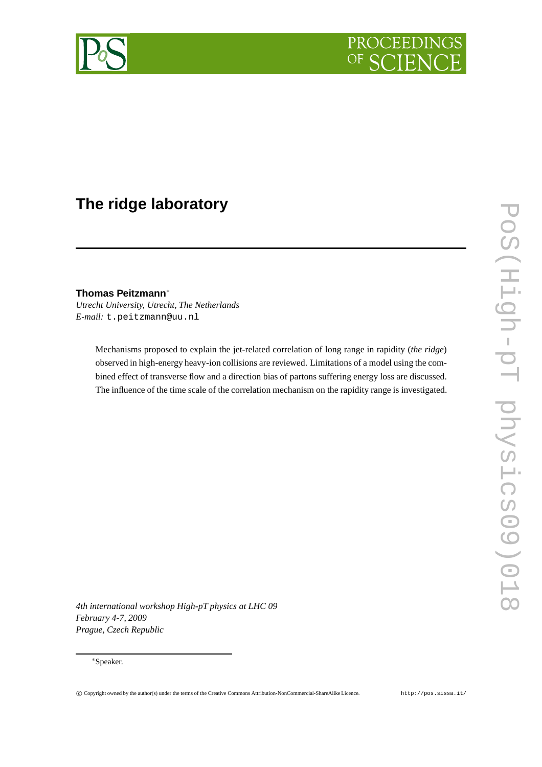

# **The ridge laboratory**

**Thomas Peitzmann**<sup>∗</sup> *Utrecht University, Utrecht, The Netherlands E-mail:* t.peitzmann@uu.nl

> Mechanisms proposed to explain the jet-related correlation of long range in rapidity (*the ridge*) observed in high-energy heavy-ion collisions are reviewed. Limitations of a model using the combined effect of transverse flow and a direction bias of partons suffering energy loss are discussed. The influence of the time scale of the correlation mechanism on the rapidity range is investigated.

*4th international workshop High-pT physics at LHC 09 February 4-7, 2009 Prague, Czech Republic*

### <sup>∗</sup>Speaker.

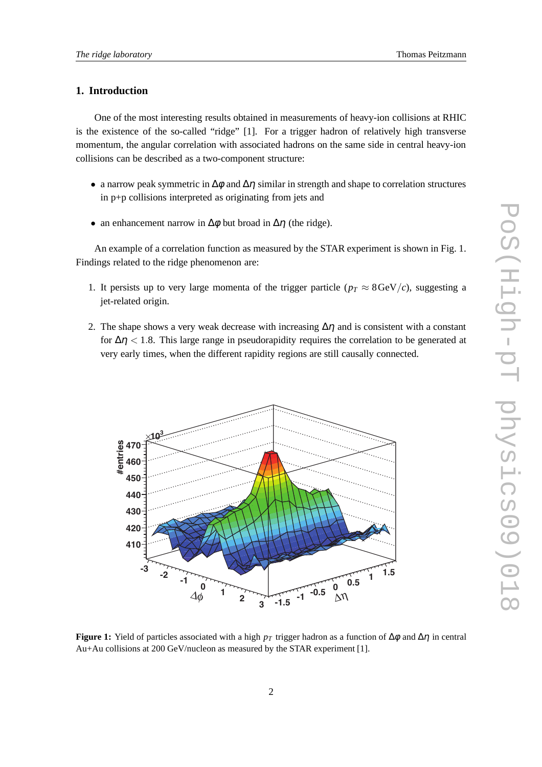# **1. Introduction**

One of the most interesting results obtained in measurements of heavy-ion collisions at RHIC is the existence of the so-called "ridge" [1]. For a trigger hadron of relatively high transverse momentum, the angular correlation with associated hadrons on the same side in central heavy-ion collisions can be described as a two-component structure:

- a narrow peak symmetric in  $\Delta \phi$  and  $\Delta \eta$  similar in strength and shape to correlation structures in p+p collisions interpreted as originating from jets and
- an enhancement narrow in  $\Delta \phi$  but broad in  $\Delta \eta$  (the ridge).

An example of a correlation function as measured by the STAR experiment is shown in Fig. 1. Findings related to the ridge phenomenon are:

- 1. It persists up to very large momenta of the trigger particle ( $p_T \approx 8 \text{ GeV}/c$ ), suggesting a jet-related origin.
- 2. The shape shows a very weak decrease with increasing  $\Delta \eta$  and is consistent with a constant for  $\Delta \eta$  < 1.8. This large range in pseudorapidity requires the correlation to be generated at very early times, when the different rapidity regions are still causally connected.



**Figure 1:** Yield of particles associated with a high  $p<sub>T</sub>$  trigger hadron as a function of  $\Delta \phi$  and  $\Delta \eta$  in central Au+Au collisions at 200 GeV/nucleon as measured by the STAR experiment [1].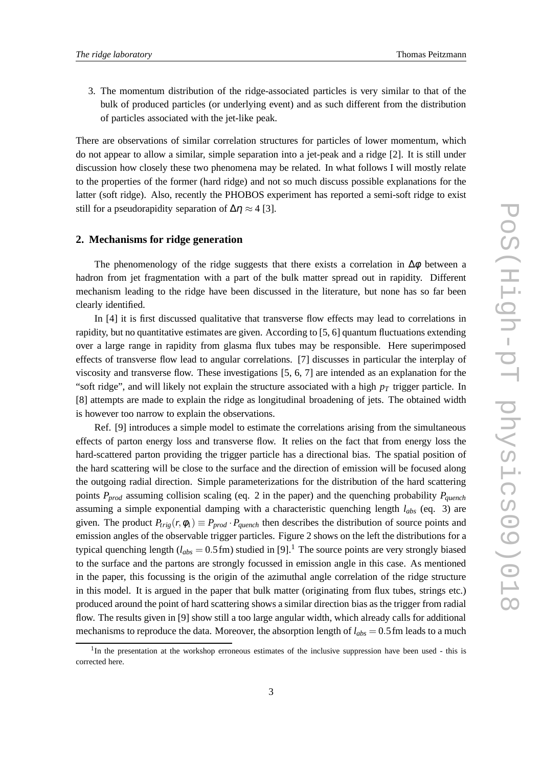3. The momentum distribution of the ridge-associated particles is very similar to that of the bulk of produced particles (or underlying event) and as such different from the distribution of particles associated with the jet-like peak.

There are observations of similar correlation structures for particles of lower momentum, which do not appear to allow a similar, simple separation into a jet-peak and a ridge [2]. It is still under discussion how closely these two phenomena may be related. In what follows I will mostly relate to the properties of the former (hard ridge) and not so much discuss possible explanations for the latter (soft ridge). Also, recently the PHOBOS experiment has reported a semi-soft ridge to exist still for a pseudorapidity separation of  $\Delta \eta \approx 4$  [3].

#### **2. Mechanisms for ridge generation**

The phenomenology of the ridge suggests that there exists a correlation in  $\Delta \phi$  between a hadron from jet fragmentation with a part of the bulk matter spread out in rapidity. Different mechanism leading to the ridge have been discussed in the literature, but none has so far been clearly identified.

In [4] it is first discussed qualitative that transverse flow effects may lead to correlations in rapidity, but no quantitative estimates are given. According to [5, 6] quantum fluctuations extending over a large range in rapidity from glasma flux tubes may be responsible. Here superimposed effects of transverse flow lead to angular correlations. [7] discusses in particular the interplay of viscosity and transverse flow. These investigations [5, 6, 7] are intended as an explanation for the "soft ridge", and will likely not explain the structure associated with a high *p<sup>T</sup>* trigger particle. In [8] attempts are made to explain the ridge as longitudinal broadening of jets. The obtained width is however too narrow to explain the observations.

Ref. [9] introduces a simple model to estimate the correlations arising from the simultaneous effects of parton energy loss and transverse flow. It relies on the fact that from energy loss the hard-scattered parton providing the trigger particle has a directional bias. The spatial position of the hard scattering will be close to the surface and the direction of emission will be focused along the outgoing radial direction. Simple parameterizations for the distribution of the hard scattering points *Pprod* assuming collision scaling (eq. 2 in the paper) and the quenching probability *Pquench* assuming a simple exponential damping with a characteristic quenching length *labs* (eq. 3) are given. The product  $P_{trig}(r, \phi_1) \equiv P_{prod} \cdot P_{quench}$  then describes the distribution of source points and emission angles of the observable trigger particles. Figure 2 shows on the left the distributions for a typical quenching length ( $l_{abs} = 0.5$  fm) studied in [9].<sup>1</sup> The source points are very strongly biased to the surface and the partons are strongly focussed in emission angle in this case. As mentioned in the paper, this focussing is the origin of the azimuthal angle correlation of the ridge structure in this model. It is argued in the paper that bulk matter (originating from flux tubes, strings etc.) produced around the point of hard scattering shows a similar direction bias as the trigger from radial flow. The results given in [9] show still a too large angular width, which already calls for additional mechanisms to reproduce the data. Moreover, the absorption length of  $l_{abs} = 0.5$  fm leads to a much

<sup>&</sup>lt;sup>1</sup>In the presentation at the workshop erroneous estimates of the inclusive suppression have been used - this is corrected here.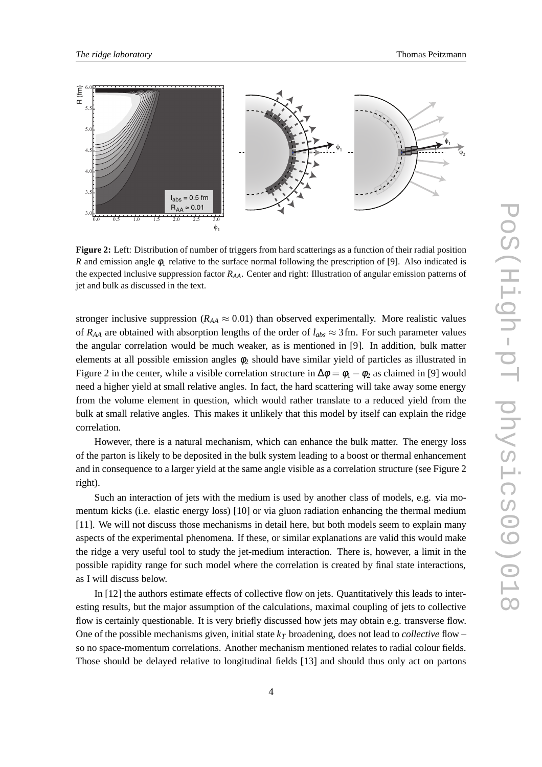

**Figure 2:** Left: Distribution of number of triggers from hard scatterings as a function of their radial position *R* and emission angle  $\phi_1$  relative to the surface normal following the prescription of [9]. Also indicated is the expected inclusive suppression factor *RAA*. Center and right: Illustration of angular emission patterns of jet and bulk as discussed in the text.

stronger inclusive suppression ( $R_{AA} \approx 0.01$ ) than observed experimentally. More realistic values of  $R_{AA}$  are obtained with absorption lengths of the order of  $l_{abs} \approx 3$  fm. For such parameter values the angular correlation would be much weaker, as is mentioned in [9]. In addition, bulk matter elements at all possible emission angles  $\phi_2$  should have similar yield of particles as illustrated in Figure 2 in the center, while a visible correlation structure in  $\Delta \phi = \phi_1 - \phi_2$  as claimed in [9] would need a higher yield at small relative angles. In fact, the hard scattering will take away some energy from the volume element in question, which would rather translate to a reduced yield from the bulk at small relative angles. This makes it unlikely that this model by itself can explain the ridge correlation.

However, there is a natural mechanism, which can enhance the bulk matter. The energy loss of the parton is likely to be deposited in the bulk system leading to a boost or thermal enhancement and in consequence to a larger yield at the same angle visible as a correlation structure (see Figure 2 right).

Such an interaction of jets with the medium is used by another class of models, e.g. via momentum kicks (i.e. elastic energy loss) [10] or via gluon radiation enhancing the thermal medium [11]. We will not discuss those mechanisms in detail here, but both models seem to explain many aspects of the experimental phenomena. If these, or similar explanations are valid this would make the ridge a very useful tool to study the jet-medium interaction. There is, however, a limit in the possible rapidity range for such model where the correlation is created by final state interactions, as I will discuss below.

In [12] the authors estimate effects of collective flow on jets. Quantitatively this leads to interesting results, but the major assumption of the calculations, maximal coupling of jets to collective flow is certainly questionable. It is very briefly discussed how jets may obtain e.g. transverse flow. One of the possible mechanisms given, initial state  $k<sub>T</sub>$  broadening, does not lead to *collective* flow – so no space-momentum correlations. Another mechanism mentioned relates to radial colour fields. Those should be delayed relative to longitudinal fields [13] and should thus only act on partons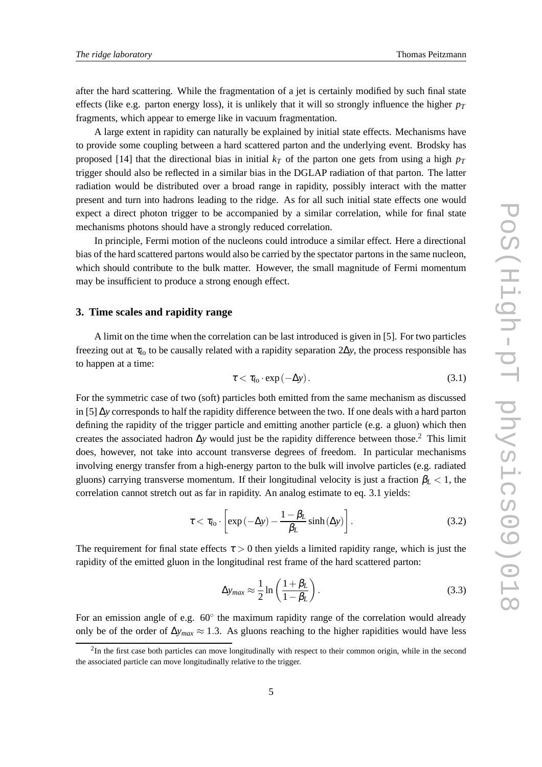after the hard scattering. While the fragmentation of a jet is certainly modified by such final state effects (like e.g. parton energy loss), it is unlikely that it will so strongly influence the higher  $p_T$ fragments, which appear to emerge like in vacuum fragmentation.

A large extent in rapidity can naturally be explained by initial state effects. Mechanisms have to provide some coupling between a hard scattered parton and the underlying event. Brodsky has proposed [14] that the directional bias in initial  $k<sub>T</sub>$  of the parton one gets from using a high  $p<sub>T</sub>$ trigger should also be reflected in a similar bias in the DGLAP radiation of that parton. The latter radiation would be distributed over a broad range in rapidity, possibly interact with the matter present and turn into hadrons leading to the ridge. As for all such initial state effects one would expect a direct photon trigger to be accompanied by a similar correlation, while for final state mechanisms photons should have a strongly reduced correlation.

In principle, Fermi motion of the nucleons could introduce a similar effect. Here a directional bias of the hard scattered partons would also be carried by the spectator partons in the same nucleon, which should contribute to the bulk matter. However, the small magnitude of Fermi momentum may be insufficient to produce a strong enough effect.

### **3. Time scales and rapidity range**

A limit on the time when the correlation can be last introduced is given in [5]. For two particles freezing out at τ<sub>fo</sub> to be causally related with a rapidity separation 2∆*y*, the process responsible has to happen at a time:

$$
\tau < \tau_{\text{fo}} \cdot \exp\left(-\Delta y\right). \tag{3.1}
$$

For the symmetric case of two (soft) particles both emitted from the same mechanism as discussed in [5] ∆*y* corresponds to half the rapidity difference between the two. If one deals with a hard parton defining the rapidity of the trigger particle and emitting another particle (e.g. a gluon) which then creates the associated hadron ∆*y* would just be the rapidity difference between those.<sup>2</sup> This limit does, however, not take into account transverse degrees of freedom. In particular mechanisms involving energy transfer from a high-energy parton to the bulk will involve particles (e.g. radiated gluons) carrying transverse momentum. If their longitudinal velocity is just a fraction  $\beta_L < 1$ , the correlation cannot stretch out as far in rapidity. An analog estimate to eq. 3.1 yields:

$$
\tau < \tau_{\text{fo}} \cdot \left[ \exp\left(-\Delta y\right) - \frac{1 - \beta_L}{\beta_L} \sinh\left(\Delta y\right) \right]. \tag{3.2}
$$

The requirement for final state effects  $\tau > 0$  then yields a limited rapidity range, which is just the rapidity of the emitted gluon in the longitudinal rest frame of the hard scattered parton:

$$
\Delta y_{max} \approx \frac{1}{2} \ln \left( \frac{1 + \beta_L}{1 - \beta_L} \right). \tag{3.3}
$$

For an emission angle of e.g.  $60^\circ$  the maximum rapidity range of the correlation would already only be of the order of ∆*ymax* ≈ 1.3. As gluons reaching to the higher rapidities would have less

 $2$ In the first case both particles can move longitudinally with respect to their common origin, while in the second the associated particle can move longitudinally relative to the trigger.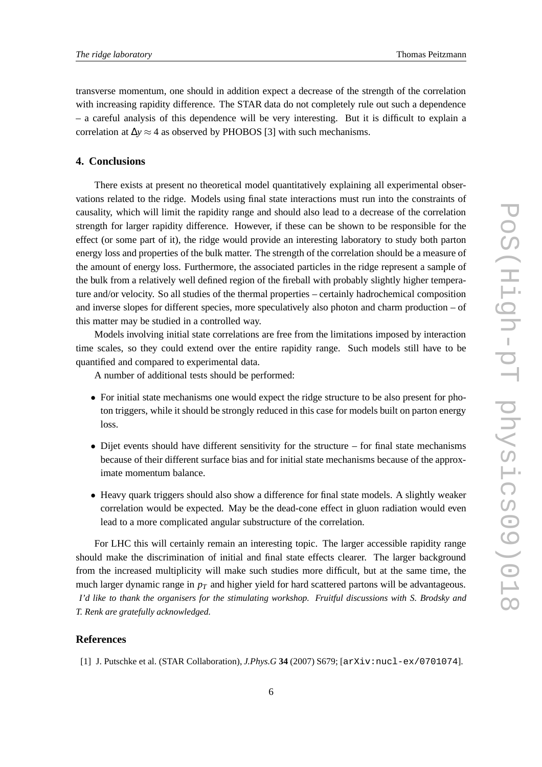transverse momentum, one should in addition expect a decrease of the strength of the correlation with increasing rapidity difference. The STAR data do not completely rule out such a dependence – a careful analysis of this dependence will be very interesting. But it is difficult to explain a correlation at  $\Delta y \approx 4$  as observed by PHOBOS [3] with such mechanisms.

## **4. Conclusions**

There exists at present no theoretical model quantitatively explaining all experimental observations related to the ridge. Models using final state interactions must run into the constraints of causality, which will limit the rapidity range and should also lead to a decrease of the correlation strength for larger rapidity difference. However, if these can be shown to be responsible for the effect (or some part of it), the ridge would provide an interesting laboratory to study both parton energy loss and properties of the bulk matter. The strength of the correlation should be a measure of the amount of energy loss. Furthermore, the associated particles in the ridge represent a sample of the bulk from a relatively well defined region of the fireball with probably slightly higher temperature and/or velocity. So all studies of the thermal properties – certainly hadrochemical composition and inverse slopes for different species, more speculatively also photon and charm production – of this matter may be studied in a controlled way.

Models involving initial state correlations are free from the limitations imposed by interaction time scales, so they could extend over the entire rapidity range. Such models still have to be quantified and compared to experimental data.

A number of additional tests should be performed:

- For initial state mechanisms one would expect the ridge structure to be also present for photon triggers, while it should be strongly reduced in this case for models built on parton energy loss.
- Dijet events should have different sensitivity for the structure for final state mechanisms because of their different surface bias and for initial state mechanisms because of the approximate momentum balance.
- Heavy quark triggers should also show a difference for final state models. A slightly weaker correlation would be expected. May be the dead-cone effect in gluon radiation would even lead to a more complicated angular substructure of the correlation.

For LHC this will certainly remain an interesting topic. The larger accessible rapidity range should make the discrimination of initial and final state effects clearer. The larger background from the increased multiplicity will make such studies more difficult, but at the same time, the much larger dynamic range in  $p<sub>T</sub>$  and higher yield for hard scattered partons will be advantageous. *I'd like to thank the organisers for the stimulating workshop. Fruitful discussions with S. Brodsky and T. Renk are gratefully acknowledged.*

## **References**

[1] J. Putschke et al. (STAR Collaboration), *J.Phys.G* **34** (2007) S679; [arXiv:nucl-ex/0701074].